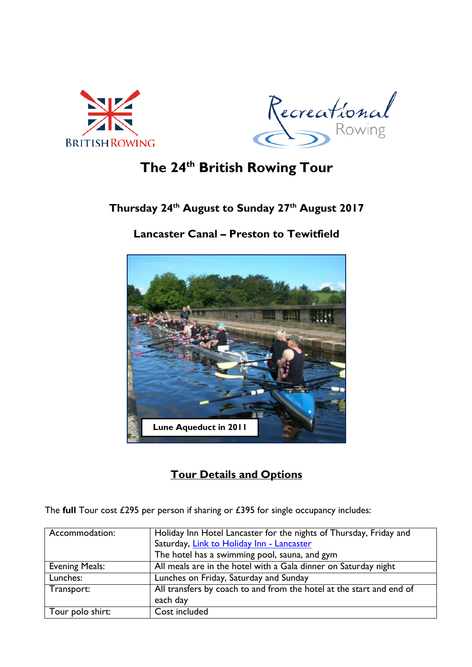



# **The 24th British Rowing Tour**

### **Thursday 24th August to Sunday 27th August 2017**

### **Lancaster Canal – Preston to Tewitfield**



### **Tour Details and Options**

The **full** Tour cost £295 per person if sharing or £395 for single occupancy includes:

| Accommodation:        | Holiday Inn Hotel Lancaster for the nights of Thursday, Friday and   |
|-----------------------|----------------------------------------------------------------------|
|                       | Saturday, Link to Holiday Inn - Lancaster                            |
|                       | The hotel has a swimming pool, sauna, and gym                        |
| <b>Evening Meals:</b> | All meals are in the hotel with a Gala dinner on Saturday night      |
| Lunches:              | Lunches on Friday, Saturday and Sunday                               |
| Transport:            | All transfers by coach to and from the hotel at the start and end of |
|                       | each day                                                             |
| Tour polo shirt:      | Cost included                                                        |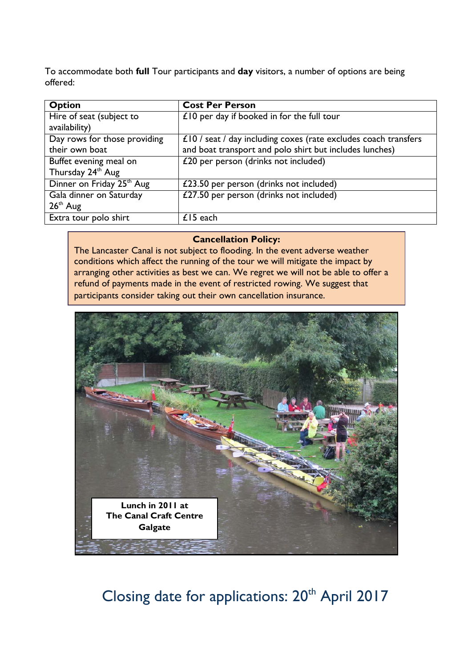To accommodate both **full** Tour participants and **day** visitors, a number of options are being offered:

| <b>Option</b>                         | <b>Cost Per Person</b>                                          |
|---------------------------------------|-----------------------------------------------------------------|
| Hire of seat (subject to              | $£10$ per day if booked in for the full tour                    |
| availability)                         |                                                                 |
| Day rows for those providing          | £10 / seat / day including coxes (rate excludes coach transfers |
| their own boat                        | and boat transport and polo shirt but includes lunches)         |
| Buffet evening meal on                | £20 per person (drinks not included)                            |
| Thursday 24 <sup>th</sup> Aug         |                                                                 |
| Dinner on Friday 25 <sup>th</sup> Aug | £23.50 per person (drinks not included)                         |
| Gala dinner on Saturday               | £27.50 per person (drinks not included)                         |
| $26th$ Aug                            |                                                                 |
| Extra tour polo shirt                 | $£15$ each                                                      |

#### **Cancellation Policy:**

The Lancaster Canal is not subject to flooding. In the event adverse weather conditions which affect the running of the tour we will mitigate the impact by arranging other activities as best we can. We regret we will not be able to offer a refund of payments made in the event of restricted rowing. We suggest that participants consider taking out their own cancellation insurance.



# Closing date for applications: 20<sup>th</sup> April 2017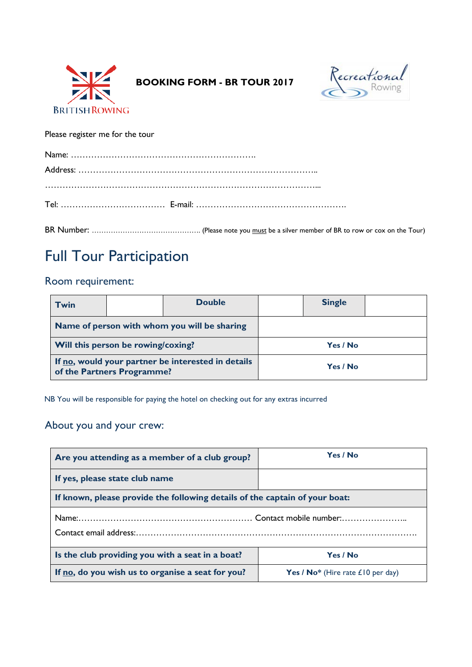

 **BOOKING FORM - BR TOUR 2017**



Please register me for the tour

# Full Tour Participation

### Room requirement:

| <b>Twin</b>                                                                      |  | <b>Double</b> | <b>Single</b> |  |
|----------------------------------------------------------------------------------|--|---------------|---------------|--|
| Name of person with whom you will be sharing                                     |  |               |               |  |
| Will this person be rowing/coxing?                                               |  |               | Yes / No      |  |
| If no, would your partner be interested in details<br>of the Partners Programme? |  |               | Yes / No      |  |

NB You will be responsible for paying the hotel on checking out for any extras incurred

### About you and your crew:

| Are you attending as a member of a club group?                              | Yes / No                          |  |  |  |
|-----------------------------------------------------------------------------|-----------------------------------|--|--|--|
| If yes, please state club name                                              |                                   |  |  |  |
| If known, please provide the following details of the captain of your boat: |                                   |  |  |  |
|                                                                             |                                   |  |  |  |
| Is the club providing you with a seat in a boat?                            | Yes / No                          |  |  |  |
| If no, do you wish us to organise a seat for you?                           | Yes / No* (Hire rate £10 per day) |  |  |  |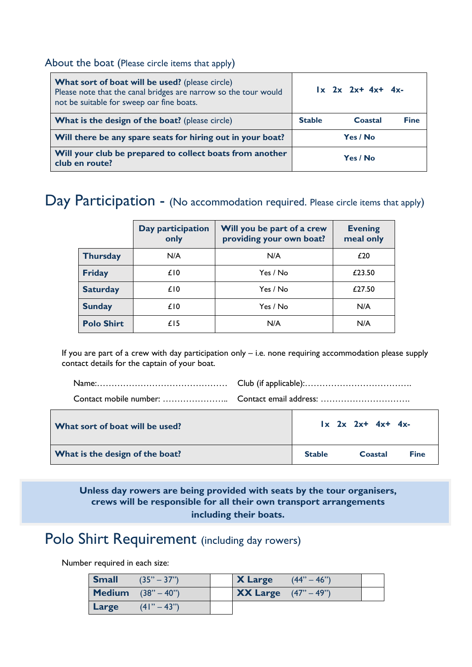#### About the boat (Please circle items that apply)

| <b>What sort of boat will be used?</b> (please circle)<br>Please note that the canal bridges are narrow so the tour would<br>not be suitable for sweep oar fine boats. |          | $1x$ $2x$ $2x+4x+4x-$ |             |
|------------------------------------------------------------------------------------------------------------------------------------------------------------------------|----------|-----------------------|-------------|
| What is the design of the boat? (please circle)                                                                                                                        |          | Coastal               | <b>Fine</b> |
| Will there be any spare seats for hiring out in your boat?                                                                                                             |          | Yes / No              |             |
| Will your club be prepared to collect boats from another<br>club en route?                                                                                             | Yes / No |                       |             |

### Day Participation - (No accommodation required. Please circle items that apply)

|                   | Day participation<br>only | Will you be part of a crew<br>providing your own boat? | <b>Evening</b><br>meal only |
|-------------------|---------------------------|--------------------------------------------------------|-----------------------------|
| <b>Thursday</b>   | N/A                       | N/A                                                    | £20                         |
| <b>Friday</b>     | £ <sub>10</sub>           | Yes / No                                               | £23.50                      |
| <b>Saturday</b>   | £ <sub>10</sub>           | Yes / No                                               | £27.50                      |
| <b>Sunday</b>     | £ <sub>10</sub>           | Yes / No                                               | N/A                         |
| <b>Polo Shirt</b> | £ <sub>15</sub>           | N/A                                                    | N/A                         |

If you are part of a crew with day participation only – i.e. none requiring accommodation please supply contact details for the captain of your boat.

| What sort of boat will be used?        | $\vert x \vert 2x \vert 2x + 4x + 4x$ |         |             |
|----------------------------------------|---------------------------------------|---------|-------------|
| <b>What is the design of the boat?</b> | <b>Stable</b>                         | Coastal | <b>Fine</b> |

**Unless day rowers are being provided with seats by the tour organisers, crews will be responsible for all their own transport arrangements including their boats.**

# Polo Shirt Requirement (including day rowers)

Number required in each size:

| <b>Small</b> | $(35" - 37")$                             | <b>X</b> Large                              | $(44" - 46")$ |  |
|--------------|-------------------------------------------|---------------------------------------------|---------------|--|
|              | <b>Medium</b> $(38^{\circ} - 40^{\circ})$ | <b>XX Large</b> $(47^{\circ} - 49^{\circ})$ |               |  |
| Large        | $(41" - 43")$                             |                                             |               |  |